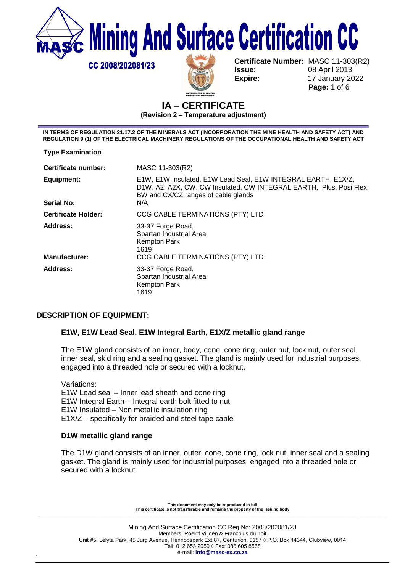**Mining And Surface Certification CC** 

**Issue:** 08 April 2013 **Expire:** 17 January 2022

**Certificate Number:** MASC 11-303(R2)  **Page:** 1 of 6

## **IA – CERTIFICATE (Revision 2 – Temperature adjustment)**

**IN TERMS OF REGULATION 21.17.2 OF THE MINERALS ACT (INCORPORATION THE MINE HEALTH AND SAFETY ACT) AND REGULATION 9 (1) OF THE ELECTRICAL MACHINERY REGULATIONS OF THE OCCUPATIONAL HEALTH AND SAFETY ACT** 

**Type Examination**

CC 2008/202081/23

| Certificate number:              | MASC 11-303(R2)                                                                                                                                                                     |
|----------------------------------|-------------------------------------------------------------------------------------------------------------------------------------------------------------------------------------|
| Equipment:<br><b>Serial No:</b>  | E1W, E1W Insulated, E1W Lead Seal, E1W INTEGRAL EARTH, E1X/Z,<br>D1W, A2, A2X, CW, CW Insulated, CW INTEGRAL EARTH, IPlus, Posi Flex,<br>BW and CX/CZ ranges of cable glands<br>N/A |
| <b>Certificate Holder:</b>       | CCG CABLE TERMINATIONS (PTY) LTD                                                                                                                                                    |
| Address:<br><b>Manufacturer:</b> | 33-37 Forge Road,<br>Spartan Industrial Area<br>Kempton Park<br>1619<br>CCG CABLE TERMINATIONS (PTY) LTD                                                                            |
| Address:                         | 33-37 Forge Road,<br>Spartan Industrial Area<br>Kempton Park<br>1619                                                                                                                |

## **DESCRIPTION OF EQUIPMENT:**

## **E1W, E1W Lead Seal, E1W Integral Earth, E1X/Z metallic gland range**

The E1W gland consists of an inner, body, cone, cone ring, outer nut, lock nut, outer seal, inner seal, skid ring and a sealing gasket. The gland is mainly used for industrial purposes, engaged into a threaded hole or secured with a locknut.

Variations: E1W Lead seal – Inner lead sheath and cone ring E1W Integral Earth – Integral earth bolt fitted to nut E1W Insulated – Non metallic insulation ring E1X/Z – specifically for braided and steel tape cable

## **D1W metallic gland range**

The D1W gland consists of an inner, outer, cone, cone ring, lock nut, inner seal and a sealing gasket. The gland is mainly used for industrial purposes, engaged into a threaded hole or secured with a locknut.

**This document may only be reproduced in full This certificate is not transferable and remains the property of the issuing body \_\_\_\_\_\_\_\_\_\_\_\_\_\_\_\_\_\_\_\_\_\_\_\_\_\_\_\_\_\_\_\_\_\_\_\_\_\_\_\_\_\_\_\_\_\_\_\_\_\_\_\_\_\_\_\_\_\_\_\_\_\_\_\_\_\_\_\_\_\_\_\_\_\_\_\_\_\_\_\_\_\_\_\_\_\_\_\_\_\_\_\_\_\_\_\_\_\_\_\_\_\_\_\_\_\_\_\_\_\_\_\_\_\_\_\_\_\_\_\_\_\_\_\_\_\_\_\_\_\_\_\_\_\_\_\_\_\_\_\_\_\_\_\_\_\_\_\_\_\_\_\_\_\_**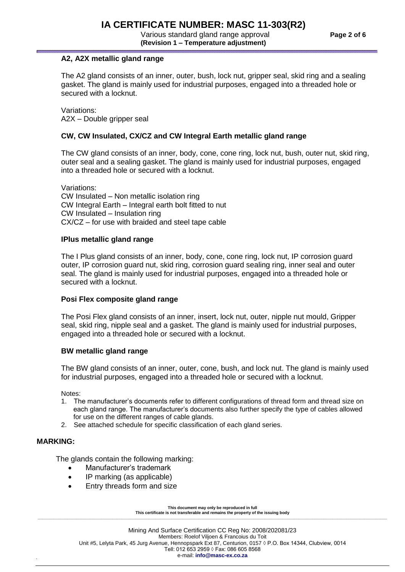Various standard gland range approval **Page 2 of 6 (Revision 1 – Temperature adjustment)**

## **A2, A2X metallic gland range**

The A2 gland consists of an inner, outer, bush, lock nut, gripper seal, skid ring and a sealing gasket. The gland is mainly used for industrial purposes, engaged into a threaded hole or secured with a locknut.

Variations: A2X – Double gripper seal

#### **CW, CW Insulated, CX/CZ and CW Integral Earth metallic gland range**

The CW gland consists of an inner, body, cone, cone ring, lock nut, bush, outer nut, skid ring, outer seal and a sealing gasket. The gland is mainly used for industrial purposes, engaged into a threaded hole or secured with a locknut.

Variations: CW Insulated – Non metallic isolation ring CW Integral Earth – Integral earth bolt fitted to nut CW Insulated – Insulation ring CX/CZ – for use with braided and steel tape cable

#### **IPlus metallic gland range**

The I Plus gland consists of an inner, body, cone, cone ring, lock nut, IP corrosion guard outer, IP corrosion guard nut, skid ring, corrosion guard sealing ring, inner seal and outer seal. The gland is mainly used for industrial purposes, engaged into a threaded hole or secured with a locknut.

#### **Posi Flex composite gland range**

The Posi Flex gland consists of an inner, insert, lock nut, outer, nipple nut mould, Gripper seal, skid ring, nipple seal and a gasket. The gland is mainly used for industrial purposes, engaged into a threaded hole or secured with a locknut.

#### **BW metallic gland range**

The BW gland consists of an inner, outer, cone, bush, and lock nut. The gland is mainly used for industrial purposes, engaged into a threaded hole or secured with a locknut.

Notes:

- 1. The manufacturer's documents refer to different configurations of thread form and thread size on each gland range. The manufacturer's documents also further specify the type of cables allowed for use on the different ranges of cable glands.
- 2. See attached schedule for specific classification of each gland series.

#### **MARKING:**

The glands contain the following marking:

- Manufacturer's trademark
- IP marking (as applicable)
- Entry threads form and size

**This document may only be reproduced in full This certificate is not transferable and remains the property of the issuing body \_\_\_\_\_\_\_\_\_\_\_\_\_\_\_\_\_\_\_\_\_\_\_\_\_\_\_\_\_\_\_\_\_\_\_\_\_\_\_\_\_\_\_\_\_\_\_\_\_\_\_\_\_\_\_\_\_\_\_\_\_\_\_\_\_\_\_\_\_\_\_\_\_\_\_\_\_\_\_\_\_\_\_\_\_\_\_\_\_\_\_\_\_\_\_\_\_\_\_\_\_\_\_\_\_\_\_\_\_\_\_\_\_\_\_\_\_\_\_\_\_\_\_\_\_\_\_\_\_\_\_\_\_\_\_\_\_\_\_\_\_\_\_\_\_\_\_\_\_\_\_\_\_\_**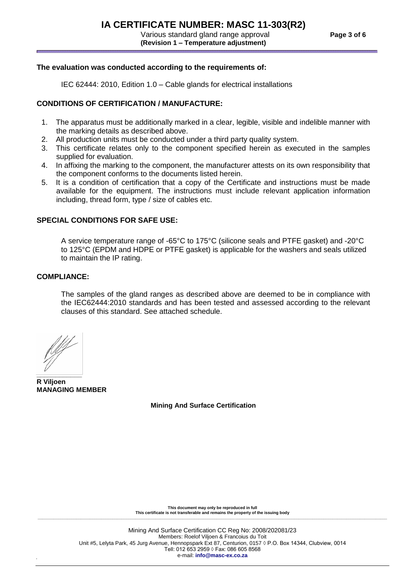# **IA CERTIFICATE NUMBER: MASC 11-303(R2)**

 Various standard gland range approval **Page 3 of 6 (Revision 1 – Temperature adjustment)**

## **The evaluation was conducted according to the requirements of:**

IEC 62444: 2010, Edition 1.0 – Cable glands for electrical installations

## **CONDITIONS OF CERTIFICATION / MANUFACTURE:**

- 1. The apparatus must be additionally marked in a clear, legible, visible and indelible manner with the marking details as described above.
- 2. All production units must be conducted under a third party quality system.
- 3. This certificate relates only to the component specified herein as executed in the samples supplied for evaluation.
- 4. In affixing the marking to the component, the manufacturer attests on its own responsibility that the component conforms to the documents listed herein.
- 5. It is a condition of certification that a copy of the Certificate and instructions must be made available for the equipment. The instructions must include relevant application information including, thread form, type / size of cables etc.

## **SPECIAL CONDITIONS FOR SAFE USE:**

A service temperature range of -65°C to 175°C (silicone seals and PTFE gasket) and -20°C to 125°C (EPDM and HDPE or PTFE gasket) is applicable for the washers and seals utilized to maintain the IP rating.

#### **COMPLIANCE:**

The samples of the gland ranges as described above are deemed to be in compliance with the IEC62444:2010 standards and has been tested and assessed according to the relevant clauses of this standard. See attached schedule.

fM

**\_\_\_\_\_\_\_\_\_\_\_\_ R Viljoen MANAGING MEMBER**

**Mining And Surface Certification**

**This document may only be reproduced in full This certificate is not transferable and remains the property of the issuing body \_\_\_\_\_\_\_\_\_\_\_\_\_\_\_\_\_\_\_\_\_\_\_\_\_\_\_\_\_\_\_\_\_\_\_\_\_\_\_\_\_\_\_\_\_\_\_\_\_\_\_\_\_\_\_\_\_\_\_\_\_\_\_\_\_\_\_\_\_\_\_\_\_\_\_\_\_\_\_\_\_\_\_\_\_\_\_\_\_\_\_\_\_\_\_\_\_\_\_\_\_\_\_\_\_\_\_\_\_\_\_\_\_\_\_\_\_\_\_\_\_\_\_\_\_\_\_\_\_\_\_\_\_\_\_\_\_\_\_\_\_\_\_\_\_\_\_\_\_\_\_\_\_\_**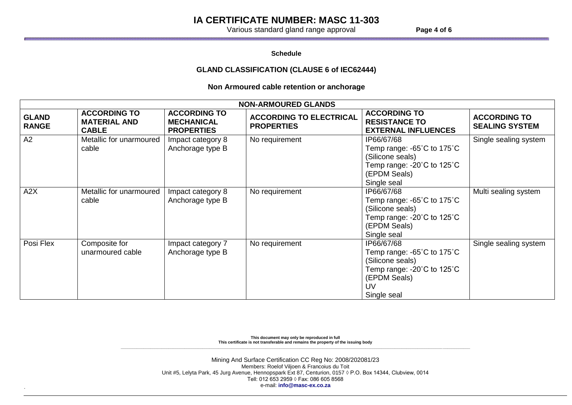## **IA CERTIFICATE NUMBER: MASC 11-303**

Various standard gland range approval **Page 4 of 6** 

**Schedule**

#### **GLAND CLASSIFICATION (CLAUSE 6 of IEC62444)**

## **Non Armoured cable retention or anchorage**

| <b>NON-ARMOURED GLANDS</b>   |                                                            |                                                               |                                                     |                                                                                                                                                                       |                                              |  |
|------------------------------|------------------------------------------------------------|---------------------------------------------------------------|-----------------------------------------------------|-----------------------------------------------------------------------------------------------------------------------------------------------------------------------|----------------------------------------------|--|
| <b>GLAND</b><br><b>RANGE</b> | <b>ACCORDING TO</b><br><b>MATERIAL AND</b><br><b>CABLE</b> | <b>ACCORDING TO</b><br><b>MECHANICAL</b><br><b>PROPERTIES</b> | <b>ACCORDING TO ELECTRICAL</b><br><b>PROPERTIES</b> | <b>ACCORDING TO</b><br><b>RESISTANCE TO</b><br><b>EXTERNAL INFLUENCES</b>                                                                                             | <b>ACCORDING TO</b><br><b>SEALING SYSTEM</b> |  |
| A2                           | Metallic for unarmoured<br>cable                           | Impact category 8<br>Anchorage type B                         | No requirement                                      | IP66/67/68<br>Temp range: -65°C to 175°C<br>(Silicone seals)<br>Temp range: -20°C to 125°C<br>(EPDM Seals)<br>Single seal                                             | Single sealing system                        |  |
| A2X                          | Metallic for unarmoured<br>cable                           | Impact category 8<br>Anchorage type B                         | No requirement                                      | IP66/67/68<br>Temp range: -65 $^{\circ}$ C to 175 $^{\circ}$ C<br>(Silicone seals)<br>Temp range: -20 $^{\circ}$ C to 125 $^{\circ}$ C<br>(EPDM Seals)<br>Single seal | Multi sealing system                         |  |
| Posi Flex                    | Composite for<br>unarmoured cable                          | Impact category 7<br>Anchorage type B                         | No requirement                                      | IP66/67/68<br>Temp range: -65°C to 175°C<br>(Silicone seals)<br>Temp range: -20 $^{\circ}$ C to 125 $^{\circ}$ C<br>(EPDM Seals)<br>UV<br>Single seal                 | Single sealing system                        |  |

**This document may only be reproduced in full This certificate is not transferable and remains the property of the issuing body \_\_\_\_\_\_\_\_\_\_\_\_\_\_\_\_\_\_\_\_\_\_\_\_\_\_\_\_\_\_\_\_\_\_\_\_\_\_\_\_\_\_\_\_\_\_\_\_\_\_\_\_\_\_\_\_\_\_\_\_\_\_\_\_\_\_\_\_\_\_\_\_\_\_\_\_\_\_\_\_\_\_\_\_\_\_\_\_\_\_\_\_\_\_\_\_\_\_\_\_\_\_\_\_\_\_\_\_\_\_\_\_\_\_\_\_\_\_\_\_\_\_\_\_\_\_\_\_\_\_\_\_\_\_\_\_\_\_\_\_\_\_\_\_\_\_\_\_\_\_\_\_\_\_**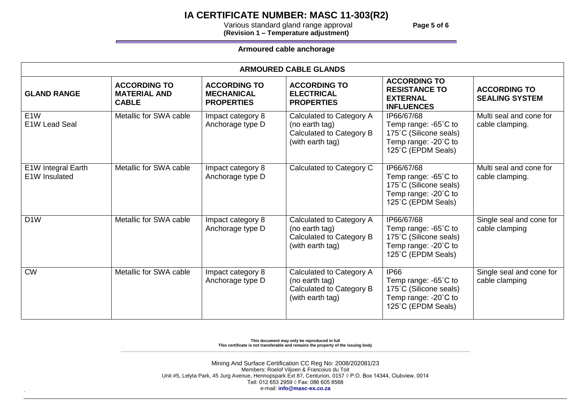# **IA CERTIFICATE NUMBER: MASC 11-303(R2)**

 Various standard gland range approval **Page 5 of 6 (Revision 1 – Temperature adjustment)**

#### **Armoured cable anchorage**

| <b>ARMOURED CABLE GLANDS</b>        |                                                            |                                                               |                                                                                            |                                                                                                                      |                                              |
|-------------------------------------|------------------------------------------------------------|---------------------------------------------------------------|--------------------------------------------------------------------------------------------|----------------------------------------------------------------------------------------------------------------------|----------------------------------------------|
| <b>GLAND RANGE</b>                  | <b>ACCORDING TO</b><br><b>MATERIAL AND</b><br><b>CABLE</b> | <b>ACCORDING TO</b><br><b>MECHANICAL</b><br><b>PROPERTIES</b> | <b>ACCORDING TO</b><br><b>ELECTRICAL</b><br><b>PROPERTIES</b>                              | <b>ACCORDING TO</b><br><b>RESISTANCE TO</b><br><b>EXTERNAL</b><br><b>INFLUENCES</b>                                  | <b>ACCORDING TO</b><br><b>SEALING SYSTEM</b> |
| E <sub>1</sub> W<br>E1W Lead Seal   | Metallic for SWA cable                                     | Impact category 8<br>Anchorage type D                         | Calculated to Category A<br>(no earth tag)<br>Calculated to Category B<br>(with earth tag) | IP66/67/68<br>Temp range: -65°C to<br>175°C (Silicone seals)<br>Temp range: -20°C to<br>125°C (EPDM Seals)           | Multi seal and cone for<br>cable clamping.   |
| E1W Integral Earth<br>E1W Insulated | Metallic for SWA cable                                     | Impact category 8<br>Anchorage type D                         | Calculated to Category C                                                                   | IP66/67/68<br>Temp range: -65°C to<br>175°C (Silicone seals)<br>Temp range: $-20^{\circ}$ C to<br>125°C (EPDM Seals) | Multi seal and cone for<br>cable clamping.   |
| D <sub>1</sub> W                    | Metallic for SWA cable                                     | Impact category 8<br>Anchorage type D                         | Calculated to Category A<br>(no earth tag)<br>Calculated to Category B<br>(with earth tag) | IP66/67/68<br>Temp range: $-65^{\circ}$ C to<br>175°C (Silicone seals)<br>Temp range: -20°C to<br>125°C (EPDM Seals) | Single seal and cone for<br>cable clamping   |
| <b>CW</b>                           | Metallic for SWA cable                                     | Impact category 8<br>Anchorage type D                         | Calculated to Category A<br>(no earth tag)<br>Calculated to Category B<br>(with earth tag) | <b>IP66</b><br>Temp range: -65°C to<br>175°C (Silicone seals)<br>Temp range: -20°C to<br>125°C (EPDM Seals)          | Single seal and cone for<br>cable clamping   |

**This document may only be reproduced in full This certificate is not transferable and remains the property of the issuing body \_\_\_\_\_\_\_\_\_\_\_\_\_\_\_\_\_\_\_\_\_\_\_\_\_\_\_\_\_\_\_\_\_\_\_\_\_\_\_\_\_\_\_\_\_\_\_\_\_\_\_\_\_\_\_\_\_\_\_\_\_\_\_\_\_\_\_\_\_\_\_\_\_\_\_\_\_\_\_\_\_\_\_\_\_\_\_\_\_\_\_\_\_\_\_\_\_\_\_\_\_\_\_\_\_\_\_\_\_\_\_\_\_\_\_\_\_\_\_\_\_\_\_\_\_\_\_\_\_\_\_\_\_\_\_\_\_\_\_\_\_\_\_\_\_\_\_\_\_\_\_\_\_\_**